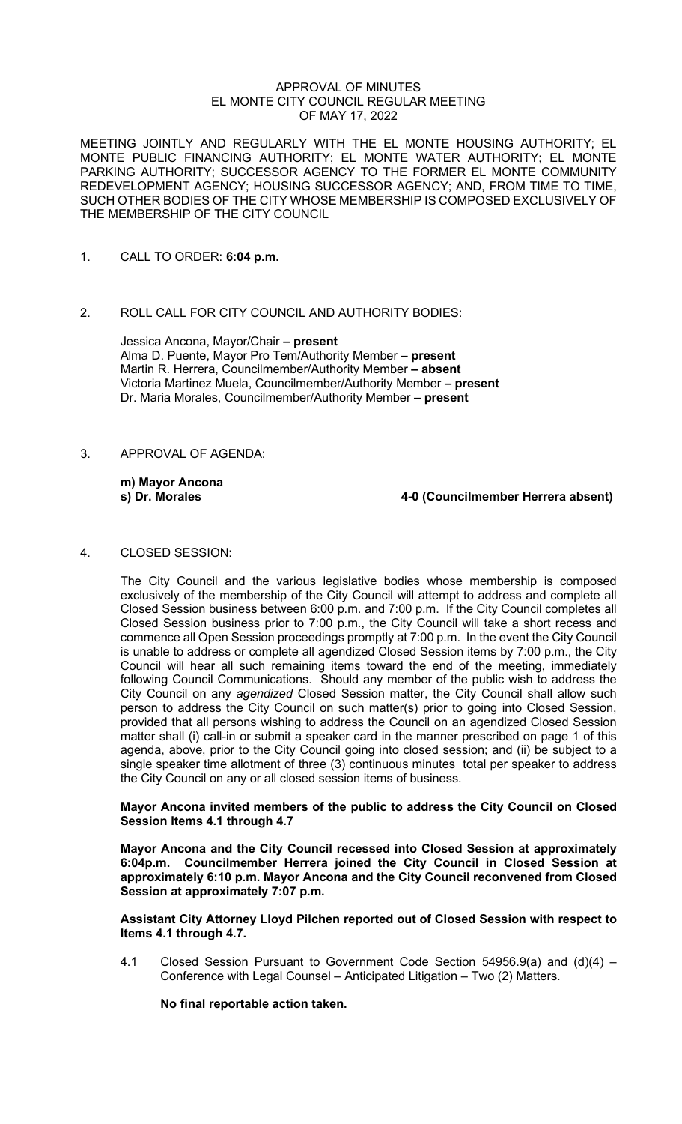#### APPROVAL OF MINUTES EL MONTE CITY COUNCIL REGULAR MEETING OF MAY 17, 2022

MEETING JOINTLY AND REGULARLY WITH THE EL MONTE HOUSING AUTHORITY; EL MONTE PUBLIC FINANCING AUTHORITY; EL MONTE WATER AUTHORITY; EL MONTE PARKING AUTHORITY; SUCCESSOR AGENCY TO THE FORMER EL MONTE COMMUNITY REDEVELOPMENT AGENCY; HOUSING SUCCESSOR AGENCY; AND, FROM TIME TO TIME, SUCH OTHER BODIES OF THE CITY WHOSE MEMBERSHIP IS COMPOSED EXCLUSIVELY OF THE MEMBERSHIP OF THE CITY COUNCIL

- 1. CALL TO ORDER: **6:04 p.m.**
- 2. ROLL CALL FOR CITY COUNCIL AND AUTHORITY BODIES:

Jessica Ancona, Mayor/Chair **– present** Alma D. Puente, Mayor Pro Tem/Authority Member **– present** Martin R. Herrera, Councilmember/Authority Member **– absent**  Victoria Martinez Muela, Councilmember/Authority Member **– present** Dr. Maria Morales, Councilmember/Authority Member **– present**

3. APPROVAL OF AGENDA:

**m) Mayor Ancona**

**s) Dr. Morales 4-0 (Councilmember Herrera absent)**

4. CLOSED SESSION:

The City Council and the various legislative bodies whose membership is composed exclusively of the membership of the City Council will attempt to address and complete all Closed Session business between 6:00 p.m. and 7:00 p.m. If the City Council completes all Closed Session business prior to 7:00 p.m., the City Council will take a short recess and commence all Open Session proceedings promptly at 7:00 p.m. In the event the City Council is unable to address or complete all agendized Closed Session items by 7:00 p.m., the City Council will hear all such remaining items toward the end of the meeting, immediately following Council Communications. Should any member of the public wish to address the City Council on any *agendized* Closed Session matter, the City Council shall allow such person to address the City Council on such matter(s) prior to going into Closed Session, provided that all persons wishing to address the Council on an agendized Closed Session matter shall (i) call-in or submit a speaker card in the manner prescribed on page 1 of this agenda, above, prior to the City Council going into closed session; and (ii) be subject to a single speaker time allotment of three (3) continuous minutes total per speaker to address the City Council on any or all closed session items of business.

### **Mayor Ancona invited members of the public to address the City Council on Closed Session Items 4.1 through 4.7**

**Mayor Ancona and the City Council recessed into Closed Session at approximately 6:04p.m. Councilmember Herrera joined the City Council in Closed Session at approximately 6:10 p.m. Mayor Ancona and the City Council reconvened from Closed Session at approximately 7:07 p.m.**

#### **Assistant City Attorney Lloyd Pilchen reported out of Closed Session with respect to Items 4.1 through 4.7.**

4.1 Closed Session Pursuant to Government Code Section 54956.9(a) and (d)(4) – Conference with Legal Counsel – Anticipated Litigation – Two (2) Matters.

**No final reportable action taken.**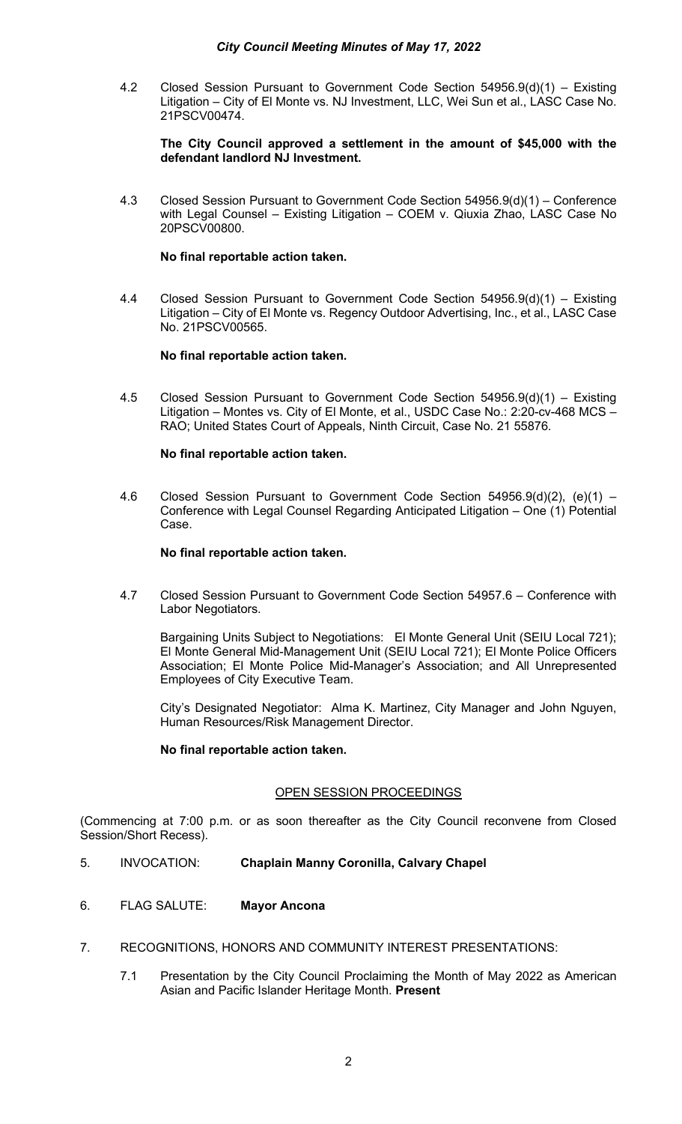4.2 Closed Session Pursuant to Government Code Section 54956.9(d)(1) – Existing Litigation – City of El Monte vs. NJ Investment, LLC, Wei Sun et al., LASC Case No. 21PSCV00474.

### **The City Council approved a settlement in the amount of \$45,000 with the defendant landlord NJ Investment.**

4.3 Closed Session Pursuant to Government Code Section 54956.9(d)(1) – Conference with Legal Counsel – Existing Litigation – COEM v. Qiuxia Zhao, LASC Case No 20PSCV00800.

### **No final reportable action taken.**

4.4 Closed Session Pursuant to Government Code Section 54956.9(d)(1) – Existing Litigation – City of El Monte vs. Regency Outdoor Advertising, Inc., et al., LASC Case No. 21PSCV00565.

## **No final reportable action taken.**

4.5 Closed Session Pursuant to Government Code Section 54956.9(d)(1) – Existing Litigation – Montes vs. City of El Monte, et al., USDC Case No.: 2:20-cv-468 MCS – RAO; United States Court of Appeals, Ninth Circuit, Case No. 21 55876.

### **No final reportable action taken.**

4.6 Closed Session Pursuant to Government Code Section 54956.9(d)(2), (e)(1) – Conference with Legal Counsel Regarding Anticipated Litigation – One (1) Potential Case.

### **No final reportable action taken.**

4.7 Closed Session Pursuant to Government Code Section 54957.6 – Conference with Labor Negotiators.

Bargaining Units Subject to Negotiations: El Monte General Unit (SEIU Local 721); El Monte General Mid-Management Unit (SEIU Local 721); El Monte Police Officers Association; El Monte Police Mid-Manager's Association; and All Unrepresented Employees of City Executive Team.

City's Designated Negotiator: Alma K. Martinez, City Manager and John Nguyen, Human Resources/Risk Management Director.

#### **No final reportable action taken.**

## OPEN SESSION PROCEEDINGS

(Commencing at 7:00 p.m. or as soon thereafter as the City Council reconvene from Closed Session/Short Recess).

- 5. INVOCATION: **Chaplain Manny Coronilla, Calvary Chapel**
- 6. FLAG SALUTE: **Mayor Ancona**
- 7. RECOGNITIONS, HONORS AND COMMUNITY INTEREST PRESENTATIONS:
	- 7.1 Presentation by the City Council Proclaiming the Month of May 2022 as American Asian and Pacific Islander Heritage Month. **Present**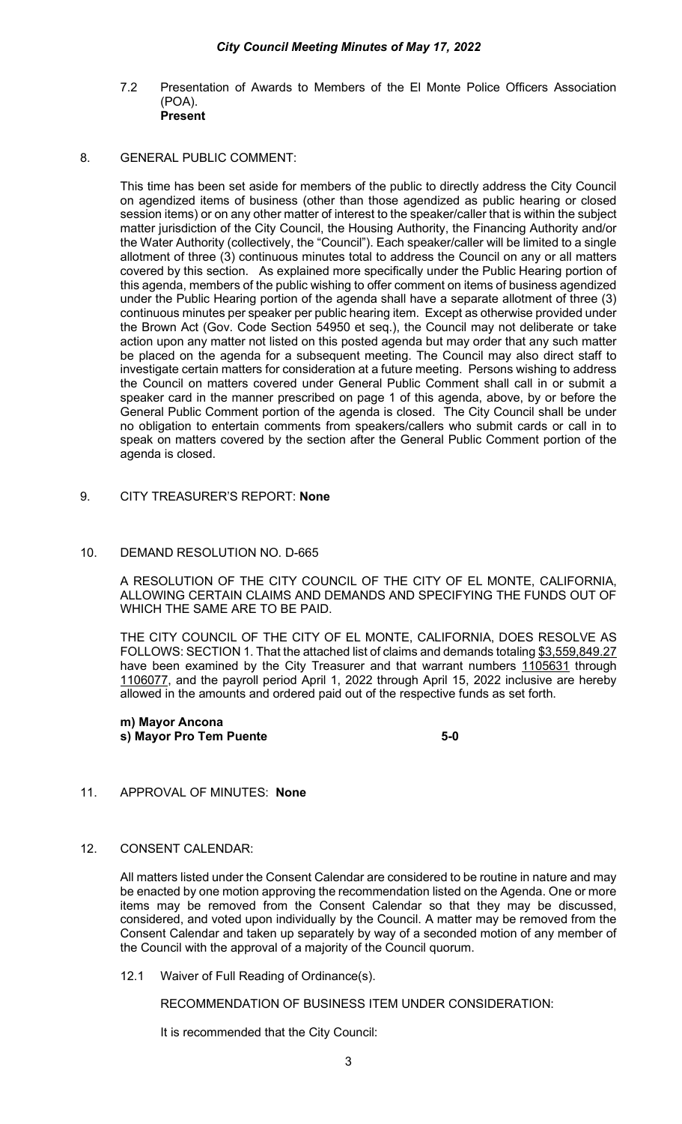7.2 Presentation of Awards to Members of the El Monte Police Officers Association (POA). **Present**

### 8. GENERAL PUBLIC COMMENT:

This time has been set aside for members of the public to directly address the City Council on agendized items of business (other than those agendized as public hearing or closed session items) or on any other matter of interest to the speaker/caller that is within the subject matter jurisdiction of the City Council, the Housing Authority, the Financing Authority and/or the Water Authority (collectively, the "Council"). Each speaker/caller will be limited to a single allotment of three (3) continuous minutes total to address the Council on any or all matters covered by this section. As explained more specifically under the Public Hearing portion of this agenda, members of the public wishing to offer comment on items of business agendized under the Public Hearing portion of the agenda shall have a separate allotment of three (3) continuous minutes per speaker per public hearing item. Except as otherwise provided under the Brown Act (Gov. Code Section 54950 et seq.), the Council may not deliberate or take action upon any matter not listed on this posted agenda but may order that any such matter be placed on the agenda for a subsequent meeting. The Council may also direct staff to investigate certain matters for consideration at a future meeting. Persons wishing to address the Council on matters covered under General Public Comment shall call in or submit a speaker card in the manner prescribed on page 1 of this agenda, above, by or before the General Public Comment portion of the agenda is closed. The City Council shall be under no obligation to entertain comments from speakers/callers who submit cards or call in to speak on matters covered by the section after the General Public Comment portion of the agenda is closed.

9. CITY TREASURER'S REPORT: **None**

# 10. DEMAND RESOLUTION NO. D-665

A RESOLUTION OF THE CITY COUNCIL OF THE CITY OF EL MONTE, CALIFORNIA, ALLOWING CERTAIN CLAIMS AND DEMANDS AND SPECIFYING THE FUNDS OUT OF WHICH THE SAME ARE TO BE PAID.

THE CITY COUNCIL OF THE CITY OF EL MONTE, CALIFORNIA, DOES RESOLVE AS FOLLOWS: SECTION 1. That the attached list of claims and demands totaling \$3,559,849.27 have been examined by the City Treasurer and that warrant numbers 1105631 through 1106077, and the payroll period April 1, 2022 through April 15, 2022 inclusive are hereby allowed in the amounts and ordered paid out of the respective funds as set forth.

**m) Mayor Ancona s) Mayor Pro Tem Puente 6-1 and 5-0 control 5-0 control 5-0 control 5-0 control 5-0 control 5-0 control 5-0 control 5-0 control 5-0 control 5-0 control 5-0 control 5-0 control 5-0 control 5-0 control 5-0 control 5-0 contr** 

## 11. APPROVAL OF MINUTES: **None**

### 12. CONSENT CALENDAR:

All matters listed under the Consent Calendar are considered to be routine in nature and may be enacted by one motion approving the recommendation listed on the Agenda. One or more items may be removed from the Consent Calendar so that they may be discussed, considered, and voted upon individually by the Council. A matter may be removed from the Consent Calendar and taken up separately by way of a seconded motion of any member of the Council with the approval of a majority of the Council quorum.

12.1 Waiver of Full Reading of Ordinance(s).

RECOMMENDATION OF BUSINESS ITEM UNDER CONSIDERATION:

It is recommended that the City Council: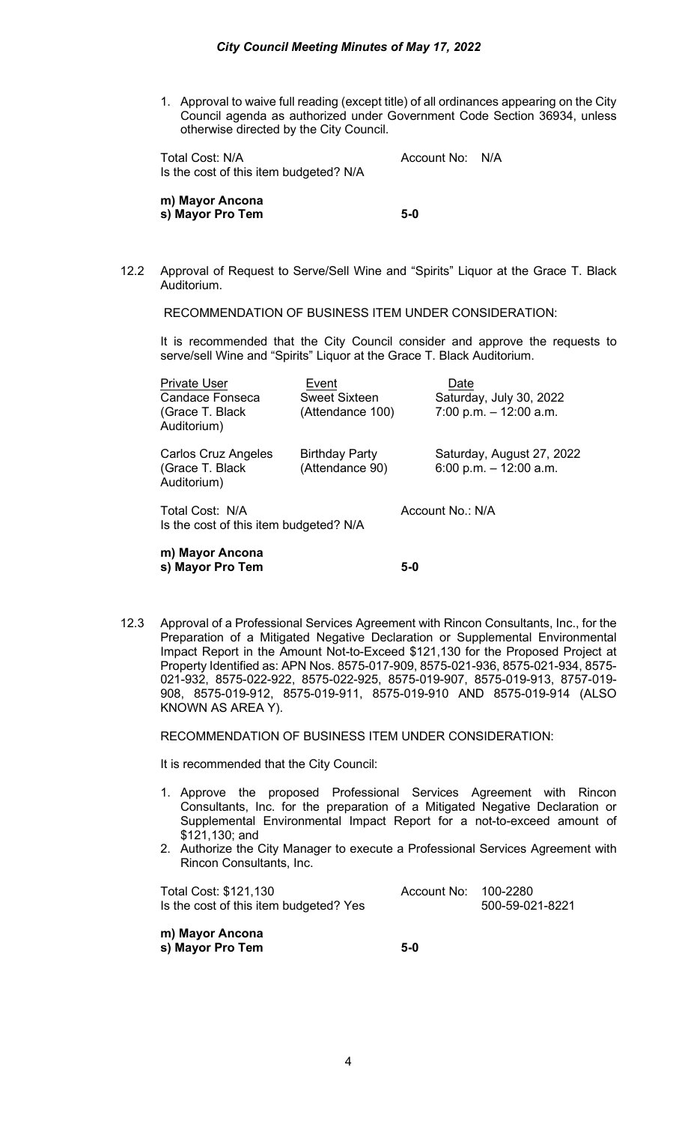1. Approval to waive full reading (except title) of all ordinances appearing on the City Council agenda as authorized under Government Code Section 36934, unless otherwise directed by the City Council.

Total Cost: N/A and Cost Count No: N/A Is the cost of this item budgeted? N/A

**m) Mayor Ancona s) Mayor Pro Tem 5-0** 

12.2 Approval of Request to Serve/Sell Wine and "Spirits" Liquor at the Grace T. Black Auditorium.

RECOMMENDATION OF BUSINESS ITEM UNDER CONSIDERATION:

It is recommended that the City Council consider and approve the requests to serve/sell Wine and "Spirits" Liquor at the Grace T. Black Auditorium.

| m) Mayor Ancona<br>s) Mayor Pro Tem                                       |                                            | 5-0              |                                                              |
|---------------------------------------------------------------------------|--------------------------------------------|------------------|--------------------------------------------------------------|
| Total Cost: N/A<br>Is the cost of this item budgeted? N/A                 |                                            | Account No.: N/A |                                                              |
| Carlos Cruz Angeles<br>(Grace T. Black)<br>Auditorium)                    | <b>Birthday Party</b><br>(Attendance 90)   |                  | Saturday, August 27, 2022<br>6:00 p.m. $-$ 12:00 a.m.        |
| <b>Private User</b><br>Candace Fonseca<br>(Grace T. Black)<br>Auditorium) | Event<br>Sweet Sixteen<br>(Attendance 100) |                  | Date<br>Saturday, July 30, 2022<br>$7:00$ p.m. $-12:00$ a.m. |

12.3 Approval of a Professional Services Agreement with Rincon Consultants, Inc., for the Preparation of a Mitigated Negative Declaration or Supplemental Environmental Impact Report in the Amount Not-to-Exceed \$121,130 for the Proposed Project at Property Identified as: APN Nos. 8575-017-909, 8575-021-936, 8575-021-934, 8575- 021-932, 8575-022-922, 8575-022-925, 8575-019-907, 8575-019-913, 8757-019- 908, 8575-019-912, 8575-019-911, 8575-019-910 AND 8575-019-914 (ALSO KNOWN AS AREA Y).

RECOMMENDATION OF BUSINESS ITEM UNDER CONSIDERATION:

It is recommended that the City Council:

- 1. Approve the proposed Professional Services Agreement with Rincon Consultants, Inc. for the preparation of a Mitigated Negative Declaration or Supplemental Environmental Impact Report for a not-to-exceed amount of \$121,130; and
- 2. Authorize the City Manager to execute a Professional Services Agreement with Rincon Consultants, Inc.

| Total Cost: \$121,130                  | Account No: 100-2280 |                 |
|----------------------------------------|----------------------|-----------------|
| Is the cost of this item budgeted? Yes |                      | 500-59-021-8221 |

**m) Mayor Ancona s) Mayor Pro Tem 5-0**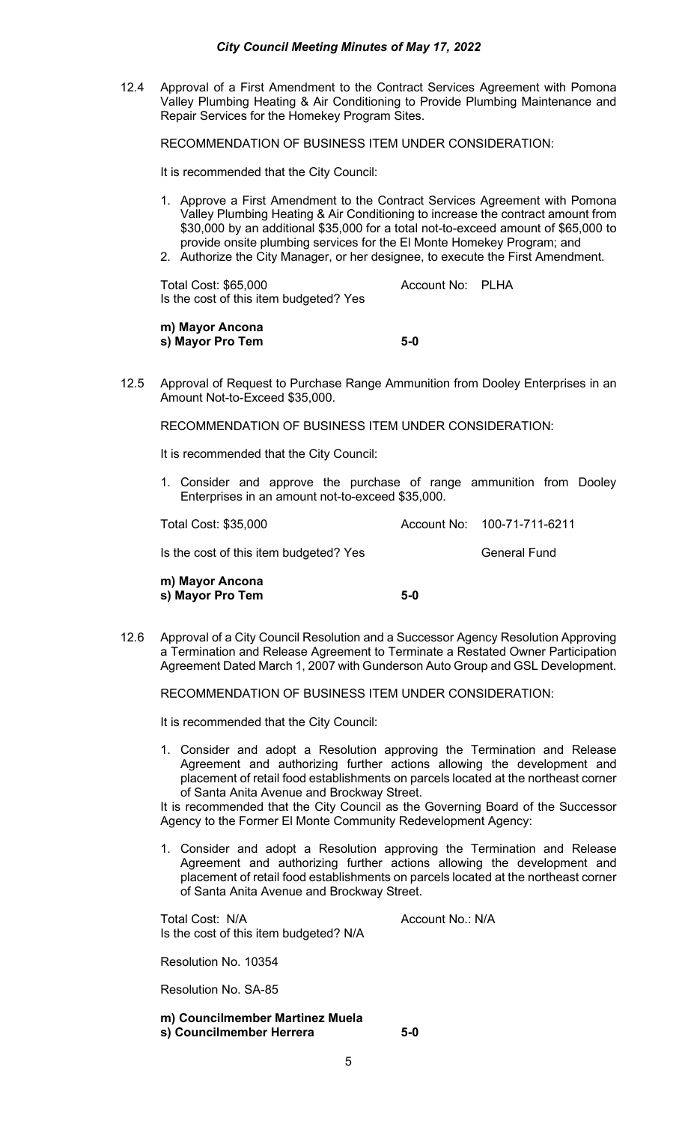### *City Council Meeting Minutes of May 17, 2022*

12.4 Approval of a First Amendment to the Contract Services Agreement with Pomona Valley Plumbing Heating & Air Conditioning to Provide Plumbing Maintenance and Repair Services for the Homekey Program Sites.

RECOMMENDATION OF BUSINESS ITEM UNDER CONSIDERATION:

It is recommended that the City Council:

- 1. Approve a First Amendment to the Contract Services Agreement with Pomona Valley Plumbing Heating & Air Conditioning to increase the contract amount from \$30,000 by an additional \$35,000 for a total not-to-exceed amount of \$65,000 to provide onsite plumbing services for the El Monte Homekey Program; and
- 2. Authorize the City Manager, or her designee, to execute the First Amendment.

Total Cost: \$65,000 Account No: PLHA Is the cost of this item budgeted? Yes

**m) Mayor Ancona s) Mayor Pro Tem 5-0**

12.5 Approval of Request to Purchase Range Ammunition from Dooley Enterprises in an Amount Not-to-Exceed \$35,000.

RECOMMENDATION OF BUSINESS ITEM UNDER CONSIDERATION:

It is recommended that the City Council:

1. Consider and approve the purchase of range ammunition from Dooley Enterprises in an amount not-to-exceed \$35,000.

| m) Mayor Ancona                        |                             |
|----------------------------------------|-----------------------------|
| Is the cost of this item budgeted? Yes | General Fund                |
| Total Cost: \$35,000                   | Account No: 100-71-711-6211 |

**s) Mayor Pro Tem 5-0**

12.6 Approval of a City Council Resolution and a Successor Agency Resolution Approving a Termination and Release Agreement to Terminate a Restated Owner Participation Agreement Dated March 1, 2007 with Gunderson Auto Group and GSL Development.

RECOMMENDATION OF BUSINESS ITEM UNDER CONSIDERATION:

It is recommended that the City Council:

1. Consider and adopt a Resolution approving the Termination and Release Agreement and authorizing further actions allowing the development and placement of retail food establishments on parcels located at the northeast corner of Santa Anita Avenue and Brockway Street.

It is recommended that the City Council as the Governing Board of the Successor Agency to the Former El Monte Community Redevelopment Agency:

1. Consider and adopt a Resolution approving the Termination and Release Agreement and authorizing further actions allowing the development and placement of retail food establishments on parcels located at the northeast corner of Santa Anita Avenue and Brockway Street.

Total Cost: N/A Account No.: N/A Is the cost of this item budgeted? N/A

Resolution No. 10354

Resolution No. SA-85

**m) Councilmember Martinez Muela s) Councilmember Herrera 5-0**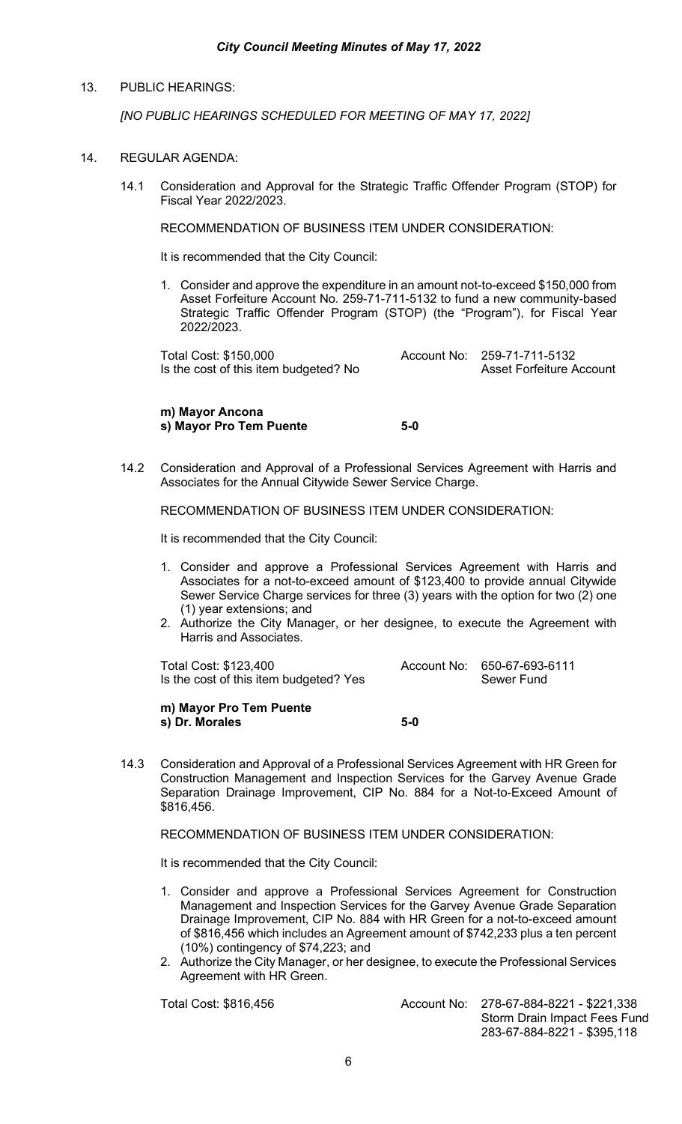## 13. PUBLIC HEARINGS:

*[NO PUBLIC HEARINGS SCHEDULED FOR MEETING OF MAY 17, 2022]*

### 14. REGULAR AGENDA:

14.1 Consideration and Approval for the Strategic Traffic Offender Program (STOP) for Fiscal Year 2022/2023.

RECOMMENDATION OF BUSINESS ITEM UNDER CONSIDERATION:

It is recommended that the City Council:

1. Consider and approve the expenditure in an amount not-to-exceed \$150,000 from Asset Forfeiture Account No. 259-71-711-5132 to fund a new community-based Strategic Traffic Offender Program (STOP) (the "Program"), for Fiscal Year 2022/2023.

Total Cost: \$150,000<br>Is the cost of this item budgeted? No **Account No:** 259-71-711-5132<br>Asset Forfeiture Account Is the cost of this item budgeted? No

**m) Mayor Ancona s) Mayor Pro Tem Puente 5-0**

14.2 Consideration and Approval of a Professional Services Agreement with Harris and Associates for the Annual Citywide Sewer Service Charge.

RECOMMENDATION OF BUSINESS ITEM UNDER CONSIDERATION:

It is recommended that the City Council:

- 1. Consider and approve a Professional Services Agreement with Harris and Associates for a not-to-exceed amount of \$123,400 to provide annual Citywide Sewer Service Charge services for three (3) years with the option for two (2) one (1) year extensions; and
- 2. Authorize the City Manager, or her designee, to execute the Agreement with Harris and Associates.

Total Cost: \$123,400<br>Is the cost of this item budgeted? Yes Belling Cost of this item budgeted? Yes Is the cost of this item budgeted? Yes

**m) Mayor Pro Tem Puente s) Dr. Morales 5-0**

14.3 Consideration and Approval of a Professional Services Agreement with HR Green for Construction Management and Inspection Services for the Garvey Avenue Grade Separation Drainage Improvement, CIP No. 884 for a Not-to-Exceed Amount of \$816,456.

RECOMMENDATION OF BUSINESS ITEM UNDER CONSIDERATION:

It is recommended that the City Council:

- 1. Consider and approve a Professional Services Agreement for Construction Management and Inspection Services for the Garvey Avenue Grade Separation Drainage Improvement, CIP No. 884 with HR Green for a not-to-exceed amount of \$816,456 which includes an Agreement amount of \$742,233 plus a ten percent (10%) contingency of \$74,223; and
- 2. Authorize the City Manager, or her designee, to execute the Professional Services Agreement with HR Green.

Total Cost: \$816,456 Account No: 278-67-884-8221 - \$221,338 Storm Drain Impact Fees Fund 283-67-884-8221 - \$395,118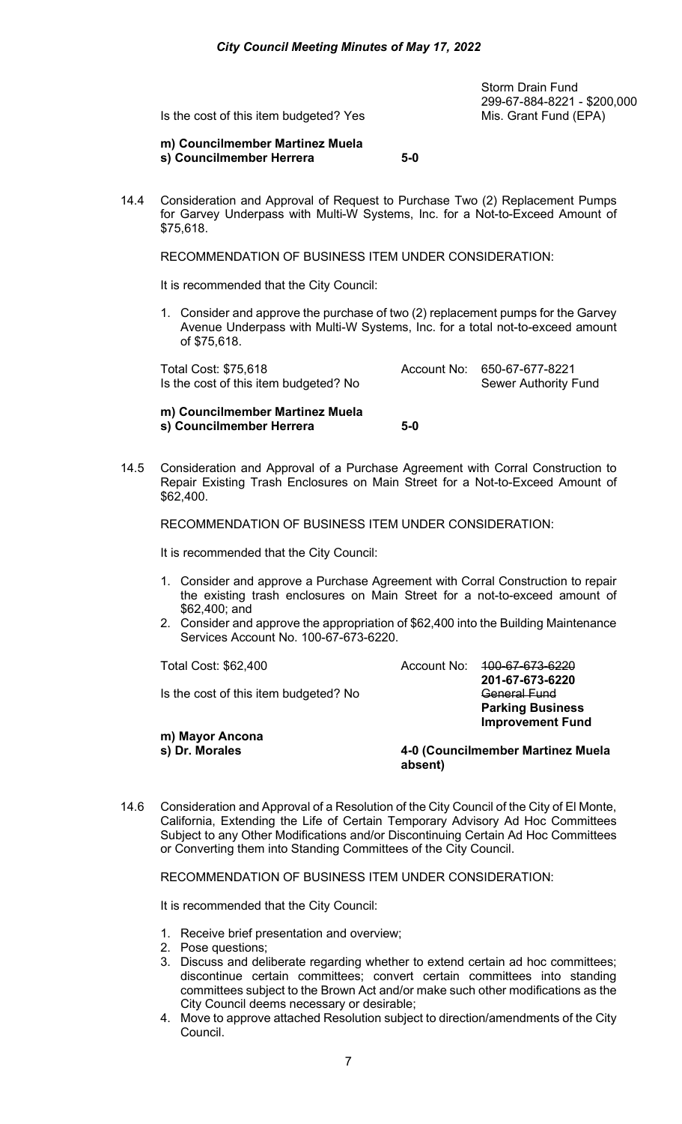Storm Drain Fund 299-67-884-8221 - \$200,000

Is the cost of this item budgeted? Yes Mis. Grant Fund (EPA)

**m) Councilmember Martinez Muela s) Councilmember Herrera 5-0** 

14.4 Consideration and Approval of Request to Purchase Two (2) Replacement Pumps for Garvey Underpass with Multi-W Systems, Inc. for a Not-to-Exceed Amount of \$75,618.

RECOMMENDATION OF BUSINESS ITEM UNDER CONSIDERATION:

It is recommended that the City Council:

1. Consider and approve the purchase of two (2) replacement pumps for the Garvey Avenue Underpass with Multi-W Systems, Inc. for a total not-to-exceed amount of \$75,618.

Total Cost: \$75,618 <br>Is the cost of this item budgeted? No **Account No:** 650-67-677-8221 Is the cost of this item budgeted? No

**m) Councilmember Martinez Muela s) Councilmember Herrera 5-0** 

14.5 Consideration and Approval of a Purchase Agreement with Corral Construction to Repair Existing Trash Enclosures on Main Street for a Not-to-Exceed Amount of \$62,400.

RECOMMENDATION OF BUSINESS ITEM UNDER CONSIDERATION:

It is recommended that the City Council:

- 1. Consider and approve a Purchase Agreement with Corral Construction to repair the existing trash enclosures on Main Street for a not-to-exceed amount of \$62,400; and
- 2. Consider and approve the appropriation of \$62,400 into the Building Maintenance Services Account No. 100-67-673-6220.

Is the cost of this item budgeted? No General Fund

Total Cost: \$62,400 <br>
Account No:  $\frac{400-67-673-6220}{200}$ **201-67-673-6220**

 **Parking Business Improvement Fund**

**m) Mayor Ancona**

**s) Dr. Morales 4-0 (Councilmember Martinez Muela absent)**

14.6 Consideration and Approval of a Resolution of the City Council of the City of El Monte, California, Extending the Life of Certain Temporary Advisory Ad Hoc Committees Subject to any Other Modifications and/or Discontinuing Certain Ad Hoc Committees or Converting them into Standing Committees of the City Council.

RECOMMENDATION OF BUSINESS ITEM UNDER CONSIDERATION:

It is recommended that the City Council:

- 1. Receive brief presentation and overview;
- 2. Pose questions;
- 3. Discuss and deliberate regarding whether to extend certain ad hoc committees; discontinue certain committees; convert certain committees into standing committees subject to the Brown Act and/or make such other modifications as the City Council deems necessary or desirable;
- 4. Move to approve attached Resolution subject to direction/amendments of the City Council.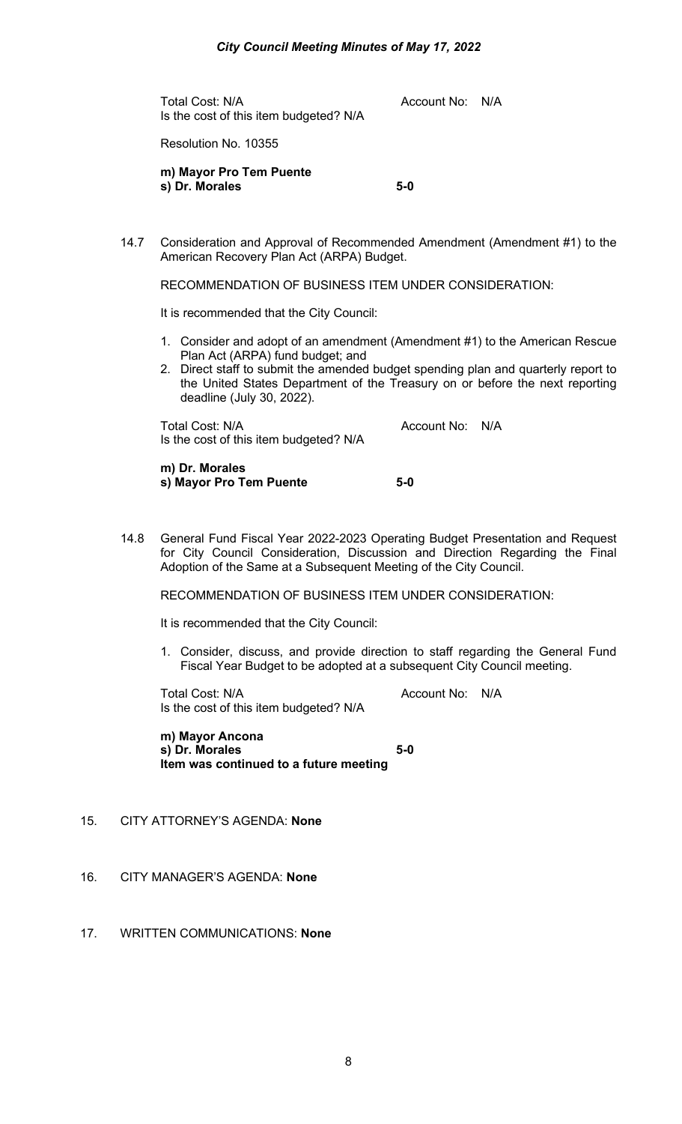Total Cost: N/A and Total Cost: N/A Is the cost of this item budgeted? N/A

Resolution No. 10355

**m) Mayor Pro Tem Puente s) Dr. Morales 5-0**

14.7 Consideration and Approval of Recommended Amendment (Amendment #1) to the American Recovery Plan Act (ARPA) Budget.

RECOMMENDATION OF BUSINESS ITEM UNDER CONSIDERATION:

It is recommended that the City Council:

- 1. Consider and adopt of an amendment (Amendment #1) to the American Rescue Plan Act (ARPA) fund budget; and
- 2. Direct staff to submit the amended budget spending plan and quarterly report to the United States Department of the Treasury on or before the next reporting deadline (July 30, 2022).

Total Cost: N/A and Cost: N/A Account No: N/A Is the cost of this item budgeted? N/A

**m) Dr. Morales s) Mayor Pro Tem Puente 5-0**

14.8 General Fund Fiscal Year 2022-2023 Operating Budget Presentation and Request for City Council Consideration, Discussion and Direction Regarding the Final Adoption of the Same at a Subsequent Meeting of the City Council.

RECOMMENDATION OF BUSINESS ITEM UNDER CONSIDERATION:

It is recommended that the City Council:

1. Consider, discuss, and provide direction to staff regarding the General Fund Fiscal Year Budget to be adopted at a subsequent City Council meeting.

Total Cost: N/A and Cost: N/A Account No: N/A Is the cost of this item budgeted? N/A

**m) Mayor Ancona s) Dr. Morales 5-0 Item was continued to a future meeting** 

- 15. CITY ATTORNEY'S AGENDA: **None**
- 16. CITY MANAGER'S AGENDA: **None**
- 17. WRITTEN COMMUNICATIONS: **None**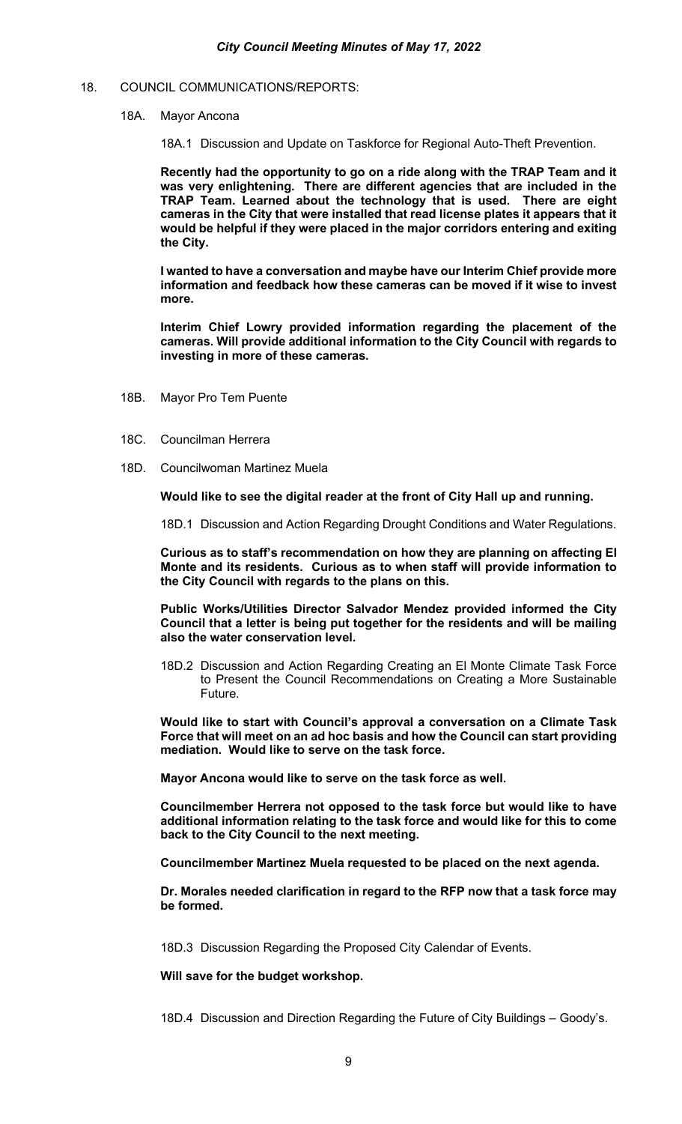#### 18. COUNCIL COMMUNICATIONS/REPORTS:

18A. Mayor Ancona

18A.1 Discussion and Update on Taskforce for Regional Auto-Theft Prevention.

**Recently had the opportunity to go on a ride along with the TRAP Team and it was very enlightening. There are different agencies that are included in the TRAP Team. Learned about the technology that is used. There are eight cameras in the City that were installed that read license plates it appears that it would be helpful if they were placed in the major corridors entering and exiting the City.** 

**I wanted to have a conversation and maybe have our Interim Chief provide more information and feedback how these cameras can be moved if it wise to invest more.** 

**Interim Chief Lowry provided information regarding the placement of the cameras. Will provide additional information to the City Council with regards to investing in more of these cameras.** 

- 18B. Mayor Pro Tem Puente
- 18C. Councilman Herrera
- 18D. Councilwoman Martinez Muela

**Would like to see the digital reader at the front of City Hall up and running.** 

18D.1 Discussion and Action Regarding Drought Conditions and Water Regulations.

**Curious as to staff's recommendation on how they are planning on affecting El Monte and its residents. Curious as to when staff will provide information to the City Council with regards to the plans on this.** 

**Public Works/Utilities Director Salvador Mendez provided informed the City Council that a letter is being put together for the residents and will be mailing also the water conservation level.** 

18D.2 Discussion and Action Regarding Creating an El Monte Climate Task Force to Present the Council Recommendations on Creating a More Sustainable Future.

**Would like to start with Council's approval a conversation on a Climate Task Force that will meet on an ad hoc basis and how the Council can start providing mediation. Would like to serve on the task force.** 

**Mayor Ancona would like to serve on the task force as well.** 

**Councilmember Herrera not opposed to the task force but would like to have additional information relating to the task force and would like for this to come back to the City Council to the next meeting.**

**Councilmember Martinez Muela requested to be placed on the next agenda.** 

**Dr. Morales needed clarification in regard to the RFP now that a task force may be formed.** 

18D.3 Discussion Regarding the Proposed City Calendar of Events.

**Will save for the budget workshop.** 

18D.4 Discussion and Direction Regarding the Future of City Buildings – Goody's.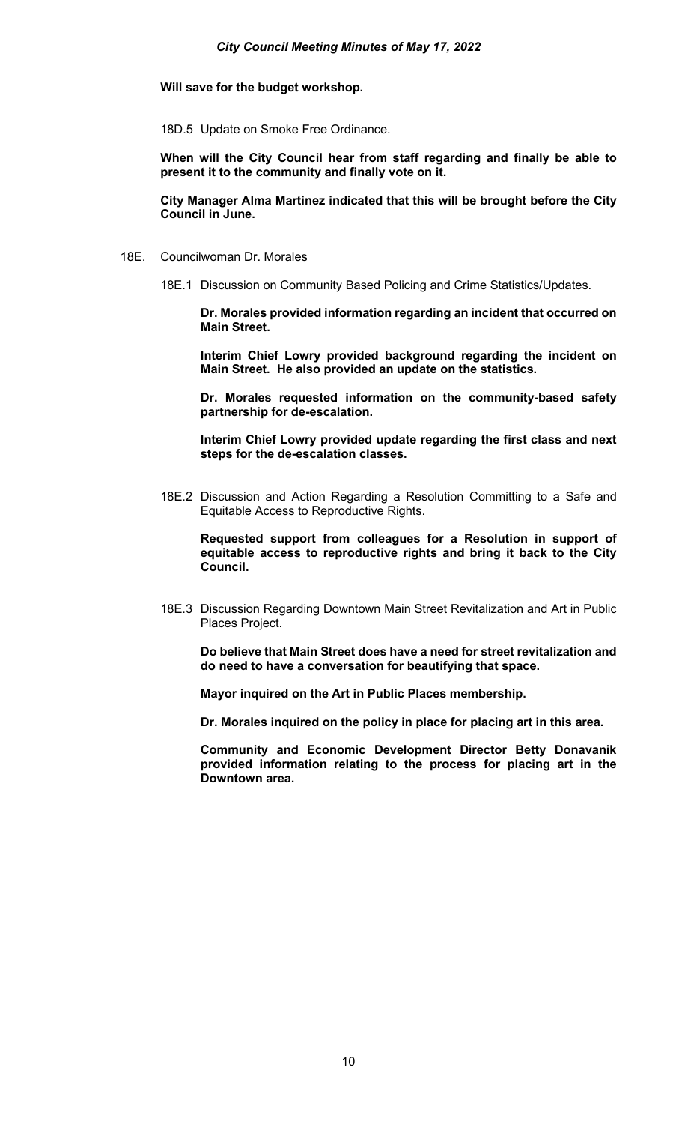**Will save for the budget workshop.** 

18D.5 Update on Smoke Free Ordinance.

**When will the City Council hear from staff regarding and finally be able to present it to the community and finally vote on it.** 

**City Manager Alma Martinez indicated that this will be brought before the City Council in June.** 

- 18E. Councilwoman Dr. Morales
	- 18E.1 Discussion on Community Based Policing and Crime Statistics/Updates.

**Dr. Morales provided information regarding an incident that occurred on Main Street.**

**Interim Chief Lowry provided background regarding the incident on Main Street. He also provided an update on the statistics.** 

**Dr. Morales requested information on the community-based safety partnership for de-escalation.** 

**Interim Chief Lowry provided update regarding the first class and next steps for the de-escalation classes.** 

18E.2 Discussion and Action Regarding a Resolution Committing to a Safe and Equitable Access to Reproductive Rights.

**Requested support from colleagues for a Resolution in support of equitable access to reproductive rights and bring it back to the City Council.** 

18E.3 Discussion Regarding Downtown Main Street Revitalization and Art in Public Places Project.

**Do believe that Main Street does have a need for street revitalization and do need to have a conversation for beautifying that space.**

**Mayor inquired on the Art in Public Places membership.** 

**Dr. Morales inquired on the policy in place for placing art in this area.** 

**Community and Economic Development Director Betty Donavanik provided information relating to the process for placing art in the Downtown area.**